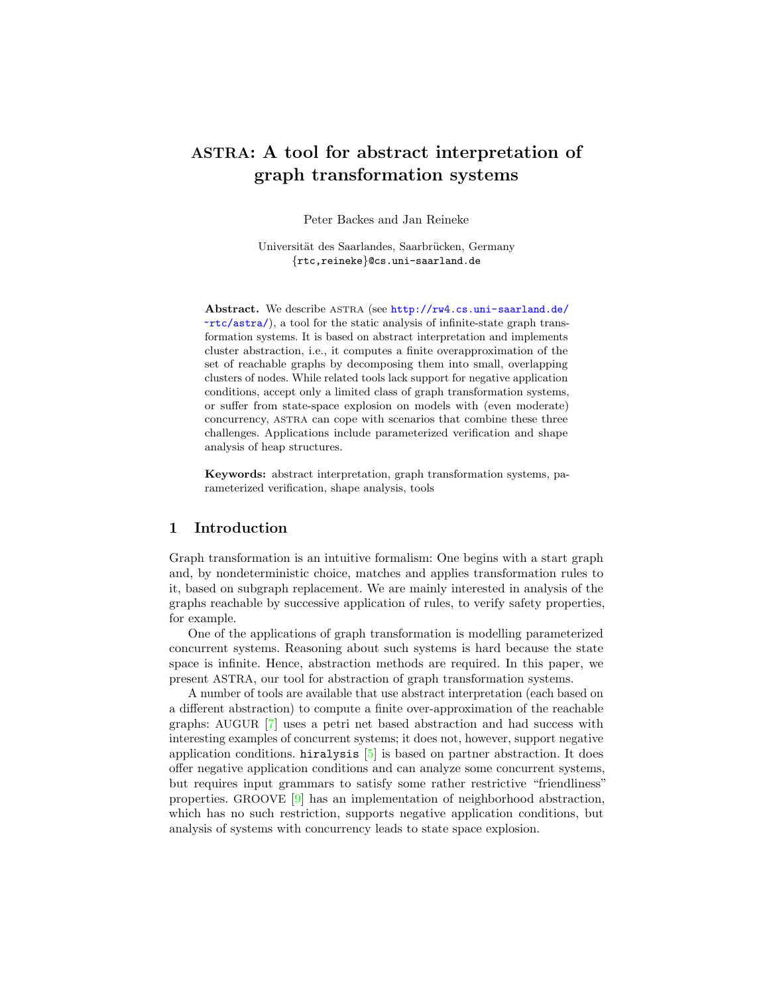# ASTRA: A tool for abstract interpretation of graph transformation systems

Peter Backes and Jan Reineke

Universität des Saarlandes, Saarbrücken, Germany *{*rtc,reineke*}*@cs.uni-saarland.de

Abstract. We describe ASTRA (see http://rw4.cs.uni-saarland.de/  $\text{rrtc/astra}$ , a tool for the static analysis of infinite-state graph transformation systems. It is based on abstract interpretation and implements cluster abstraction, i.e., it computes a finite overapproximation of the set of reachable graphs by decomposing them into small, overlapping clusters of nodes. While related tools lack support for negative application conditions, accept only a limited class of graph transformation systems, or suffer from state-space explosion on models with (even moderate) concurrency, ASTRA can cope with scenarios that combine these three challenges. Applications include parameterized verification and shape analysis of heap structures.

Keywords: abstract interpretation, graph transformation systems, parameterized verification, shape analysis, tools

### 1 Introduction

Graph transformation is an intuitive formalism: One begins with a start graph and, by nondeterministic choice, matches and applies transformation rules to it, based on subgraph replacement. We are mainly interested in analysis of the graphs reachable by successive application of rules, to verify safety properties, for example.

One of the applications of graph transformation is modelling parameterized concurrent systems. Reasoning about such systems is hard because the state space is infinite. Hence, abstraction methods are required. In this paper, we present ASTRA, our tool for abstraction of graph transformation systems.

A number of tools are available that use abstract interpretation (each based on a different abstraction) to compute a finite over-approximation of the reachable graphs: AUGUR [7] uses a petri net based abstraction and had success with interesting examples of concurrent systems; it does not, however, support negative application conditions. **hiralysis**  $[5]$  is based on partner abstraction. It does offer negative application conditions and can analyze some concurrent systems, but requires input grammars to satisfy some rather restrictive "friendliness" properties. GROOVE [9] has an implementation of neighborhood abstraction, which has no such restriction, supports negative application conditions, but analysis of systems with concurrency leads to state space explosion.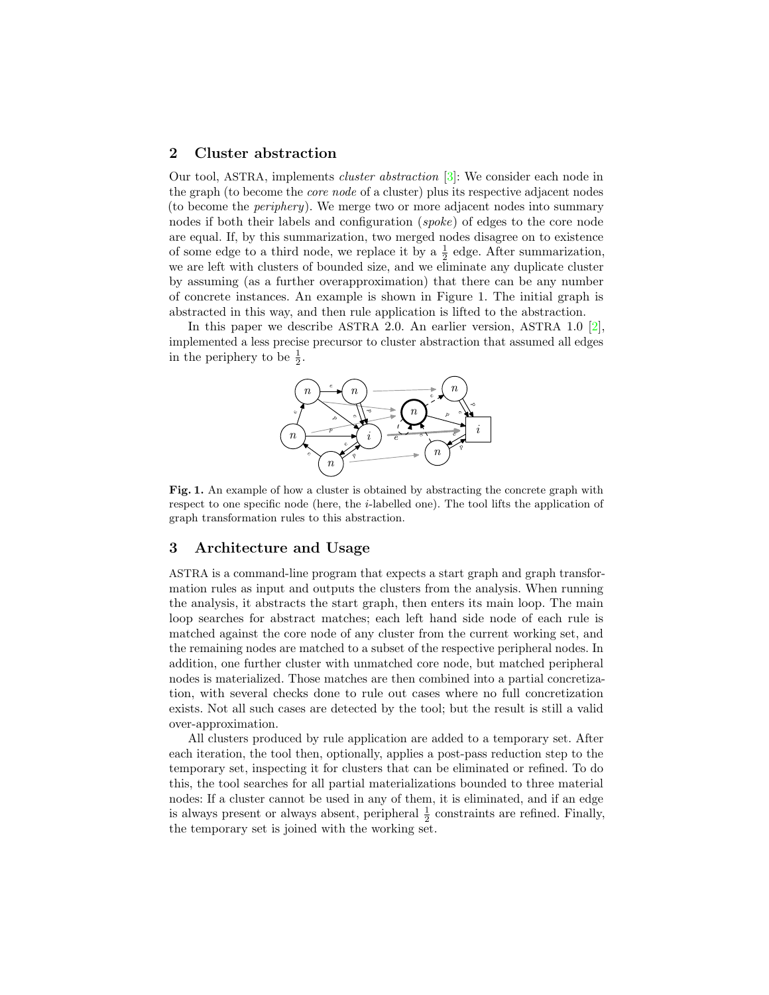### 2 Cluster abstraction

Our tool, ASTRA, implements *cluster abstraction* [3]: We consider each node in the graph (to become the *core node* of a cluster) plus its respective adjacent nodes (to become the *periphery*). We merge two or more adjacent nodes into summary nodes if both their labels and configuration (*spoke*) of edges to the core node are equal. If, by this summarization, two merged nodes disagree on to existence of some edge to a third node, we replace it by a  $\frac{1}{2}$  edge. After summarization, we are left with clusters of bounded size, and we eliminate any duplicate cluster by assuming (as a further overapproximation) that there can be any number of concrete instances. An example is shown in Figure 1. The initial graph is abstracted in this way, and then rule application is lifted to the abstraction.

In this paper we describe ASTRA 2.0. An earlier version, ASTRA 1.0 [2], implemented a less precise precursor to cluster abstraction that assumed all edges in the periphery to be  $\frac{1}{2}$ .



Fig. 1. An example of how a cluster is obtained by abstracting the concrete graph with respect to one specific node (here, the *i*-labelled one). The tool lifts the application of graph transformation rules to this abstraction.

# 3 Architecture and Usage

ASTRA is a command-line program that expects a start graph and graph transformation rules as input and outputs the clusters from the analysis. When running the analysis, it abstracts the start graph, then enters its main loop. The main loop searches for abstract matches; each left hand side node of each rule is matched against the core node of any cluster from the current working set, and the remaining nodes are matched to a subset of the respective peripheral nodes. In addition, one further cluster with unmatched core node, but matched peripheral nodes is materialized. Those matches are then combined into a partial concretization, with several checks done to rule out cases where no full concretization exists. Not all such cases are detected by the tool; but the result is still a valid over-approximation.

All clusters produced by rule application are added to a temporary set. After each iteration, the tool then, optionally, applies a post-pass reduction step to the temporary set, inspecting it for clusters that can be eliminated or refined. To do this, the tool searches for all partial materializations bounded to three material nodes: If a cluster cannot be used in any of them, it is eliminated, and if an edge is always present or always absent, peripheral  $\frac{1}{2}$  constraints are refined. Finally, the temporary set is joined with the working set.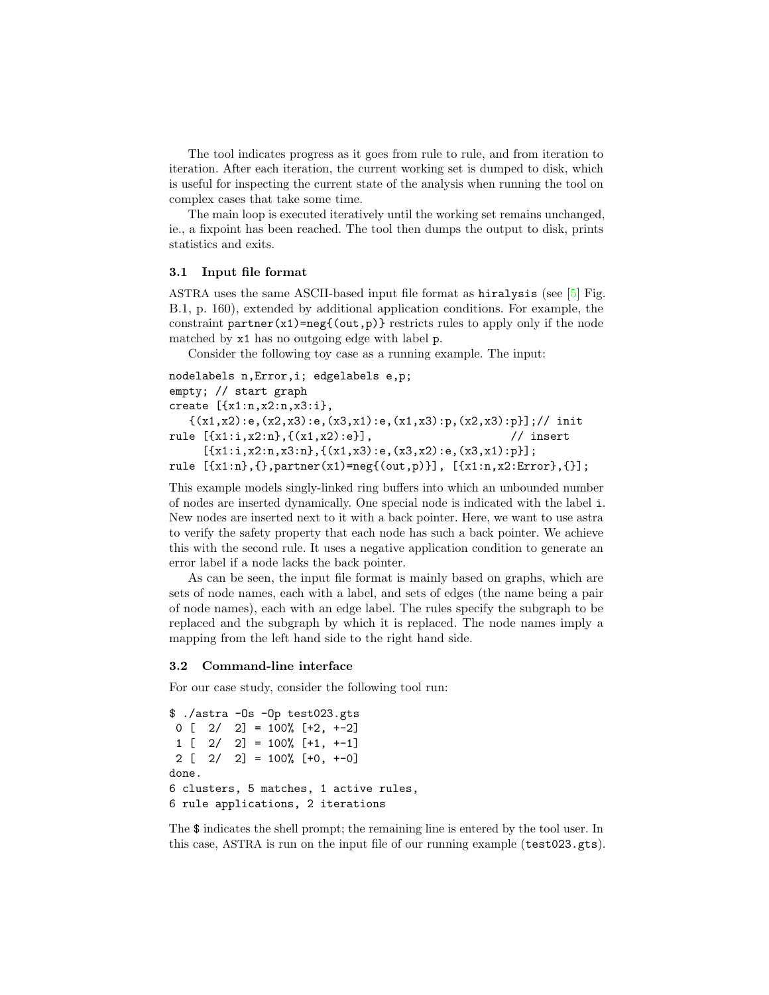The tool indicates progress as it goes from rule to rule, and from iteration to iteration. After each iteration, the current working set is dumped to disk, which is useful for inspecting the current state of the analysis when running the tool on complex cases that take some time.

The main loop is executed iteratively until the working set remains unchanged, ie., a fixpoint has been reached. The tool then dumps the output to disk, prints statistics and exits.

### 3.1 Input file format

ASTRA uses the same ASCII-based input file format as  $h$ iralysis (see [5] Fig. B.1, p. 160), extended by additional application conditions. For example, the constraint  $partner(x1)=neg\{(out,p)\}$  restricts rules to apply only if the node matched by x1 has no outgoing edge with label p.

Consider the following toy case as a running example. The input:

```
nodelabels n,Error,i; edgelabels e,p;
empty; // start graph
create [{x1:n,x2:n,x3:i},
  {(x1,x2):e,(x2,x3):e,(x3,x1):e,(x1,x3):p,(x2,x3):p}];// init
rule [{x1:i,x2:n},{(x1,x2):e}], // insert
     [\{x1:i,x2:n,x3:n\},\{(x1,x3):e,(x3,x2):e,(x3,x1):p\}];rule [{x1:n}, {},partner(x1)=neg{(out,p)}], [{x1:n}, {x2:Error}, {}};
```
This example models singly-linked ring buffers into which an unbounded number of nodes are inserted dynamically. One special node is indicated with the label i. New nodes are inserted next to it with a back pointer. Here, we want to use astra to verify the safety property that each node has such a back pointer. We achieve this with the second rule. It uses a negative application condition to generate an error label if a node lacks the back pointer.

As can be seen, the input file format is mainly based on graphs, which are sets of node names, each with a label, and sets of edges (the name being a pair of node names), each with an edge label. The rules specify the subgraph to be replaced and the subgraph by which it is replaced. The node names imply a mapping from the left hand side to the right hand side.

#### 3.2 Command-line interface

For our case study, consider the following tool run:

```
$ ./astra -Os -Op test023.gts
 0 \begin{bmatrix} 2/2 \end{bmatrix} = 100\% [+2, +-2]
 1 \begin{bmatrix} 2/2 \end{bmatrix} = 100\% \begin{bmatrix} +1, & +1 \end{bmatrix}2 [ 2/ 2] = 100% [+0, +-0]
done.
6 clusters, 5 matches, 1 active rules,
6 rule applications, 2 iterations
```
The \$ indicates the shell prompt; the remaining line is entered by the tool user. In this case, ASTRA is run on the input file of our running example (test023.gts).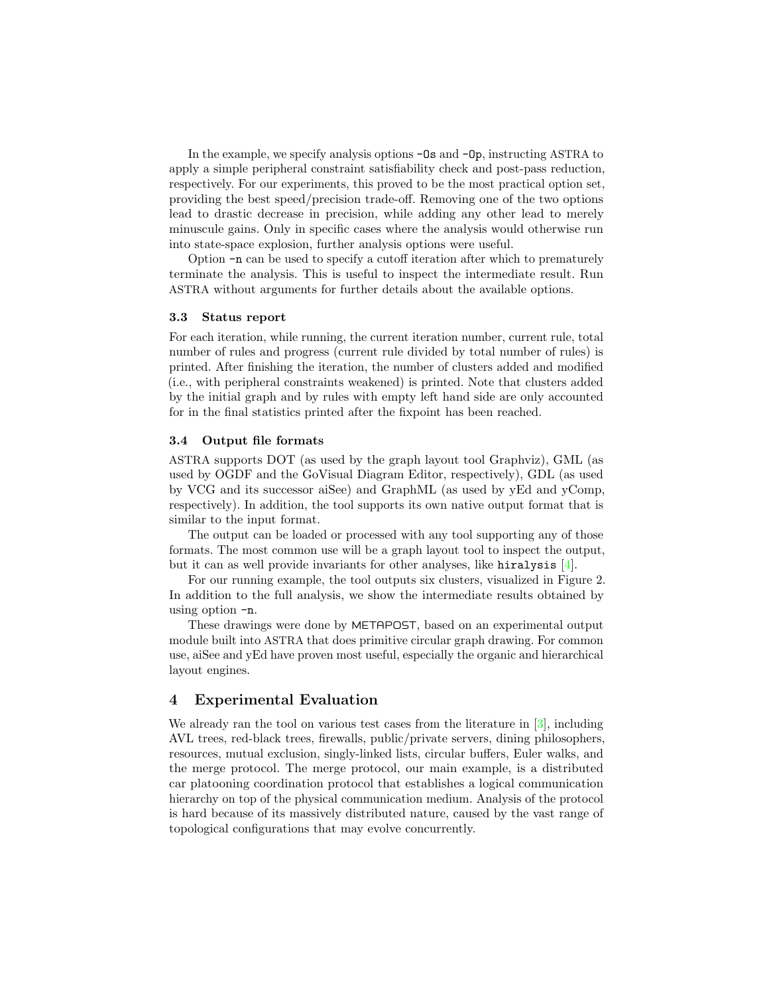In the example, we specify analysis options  $-\text{Os}$  and  $-\text{Op}$ , instructing ASTRA to apply a simple peripheral constraint satisfiability check and post-pass reduction, respectively. For our experiments, this proved to be the most practical option set, providing the best speed/precision trade-off. Removing one of the two options lead to drastic decrease in precision, while adding any other lead to merely minuscule gains. Only in specific cases where the analysis would otherwise run into state-space explosion, further analysis options were useful.

Option  $-n$  can be used to specify a cutoff iteration after which to prematurely terminate the analysis. This is useful to inspect the intermediate result. Run ASTRA without arguments for further details about the available options.

#### 3.3 Status report

For each iteration, while running, the current iteration number, current rule, total number of rules and progress (current rule divided by total number of rules) is printed. After finishing the iteration, the number of clusters added and modified (i.e., with peripheral constraints weakened) is printed. Note that clusters added by the initial graph and by rules with empty left hand side are only accounted for in the final statistics printed after the fixpoint has been reached.

### 3.4 Output file formats

ASTRA supports DOT (as used by the graph layout tool Graphviz), GML (as used by OGDF and the GoVisual Diagram Editor, respectively), GDL (as used by VCG and its successor aiSee) and GraphML (as used by yEd and yComp, respectively). In addition, the tool supports its own native output format that is similar to the input format.

The output can be loaded or processed with any tool supporting any of those formats. The most common use will be a graph layout tool to inspect the output, but it can as well provide invariants for other analyses, like hiralysis [4].

For our running example, the tool outputs six clusters, visualized in Figure 2. In addition to the full analysis, we show the intermediate results obtained by using option -n.

These drawings were done by METAPOST, based on an experimental output module built into ASTRA that does primitive circular graph drawing. For common use, aiSee and yEd have proven most useful, especially the organic and hierarchical layout engines.

## 4 Experimental Evaluation

We already ran the tool on various test cases from the literature in [3], including AVL trees, red-black trees, firewalls, public/private servers, dining philosophers, resources, mutual exclusion, singly-linked lists, circular buffers, Euler walks, and the merge protocol. The merge protocol, our main example, is a distributed car platooning coordination protocol that establishes a logical communication hierarchy on top of the physical communication medium. Analysis of the protocol is hard because of its massively distributed nature, caused by the vast range of topological configurations that may evolve concurrently.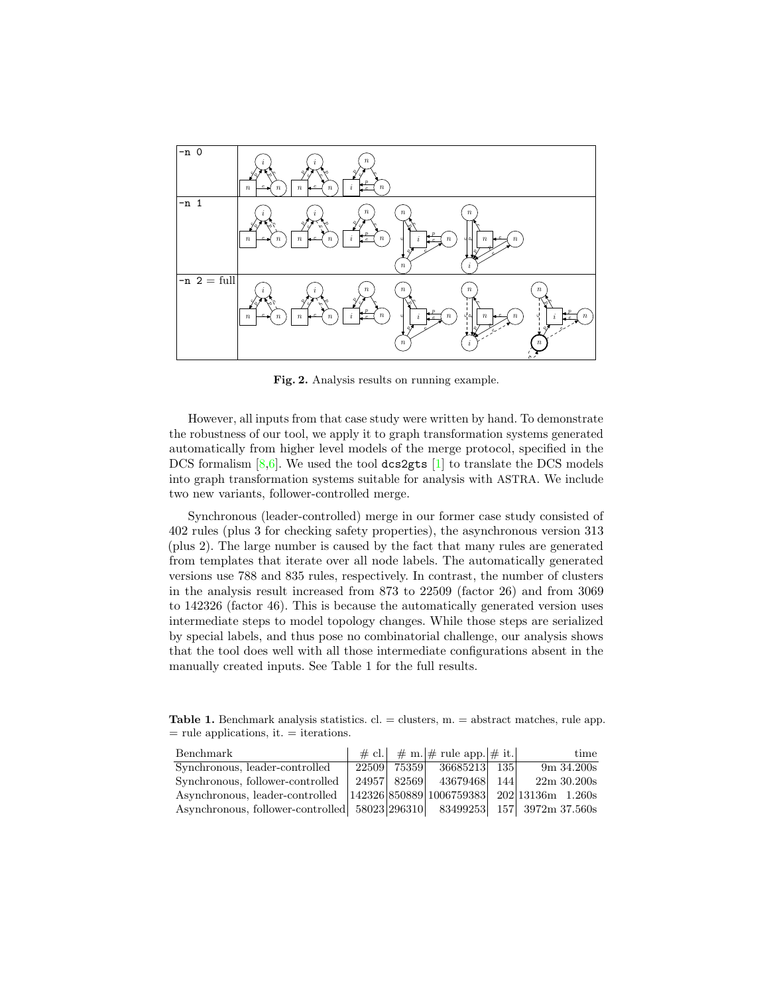

Fig. 2. Analysis results on running example.

However, all inputs from that case study were written by hand. To demonstrate the robustness of our tool, we apply it to graph transformation systems generated automatically from higher level models of the merge protocol, specified in the DCS formalism  $[8,6]$ . We used the tool dcs2gts  $[1]$  to translate the DCS models into graph transformation systems suitable for analysis with ASTRA. We include two new variants, follower-controlled merge.

Synchronous (leader-controlled) merge in our former case study consisted of 402 rules (plus 3 for checking safety properties), the asynchronous version 313 (plus 2). The large number is caused by the fact that many rules are generated from templates that iterate over all node labels. The automatically generated versions use 788 and 835 rules, respectively. In contrast, the number of clusters in the analysis result increased from 873 to 22509 (factor 26) and from 3069 to 142326 (factor 46). This is because the automatically generated version uses intermediate steps to model topology changes. While those steps are serialized by special labels, and thus pose no combinatorial challenge, our analysis shows that the tool does well with all those intermediate configurations absent in the manually created inputs. See Table 1 for the full results.

Table 1. Benchmark analysis statistics.  $cl. = clusters, m. = abstract matches, rule app.$  $=$  rule applications, it.  $=$  iterations.

| Benchmark                                                                           |  | $\#$ cl. $\#$ m. $\#$ rule app. $\#$ it. | time           |
|-------------------------------------------------------------------------------------|--|------------------------------------------|----------------|
| Synchronous, leader-controlled                                                      |  | 22509 75359 36685213 135                 | $9m\,34.200s$  |
| Synchronous, follower-controlled                                                    |  | 24957 82569 43679468 144                 | $22m\ 30.200s$ |
| Asynchronous, leader-controlled   142326 850889   1006759383   202   13136 m 1.260s |  |                                          |                |
| Asynchronous, follower-controlled 58023 296310 83499253 157 3972m 37.560s           |  |                                          |                |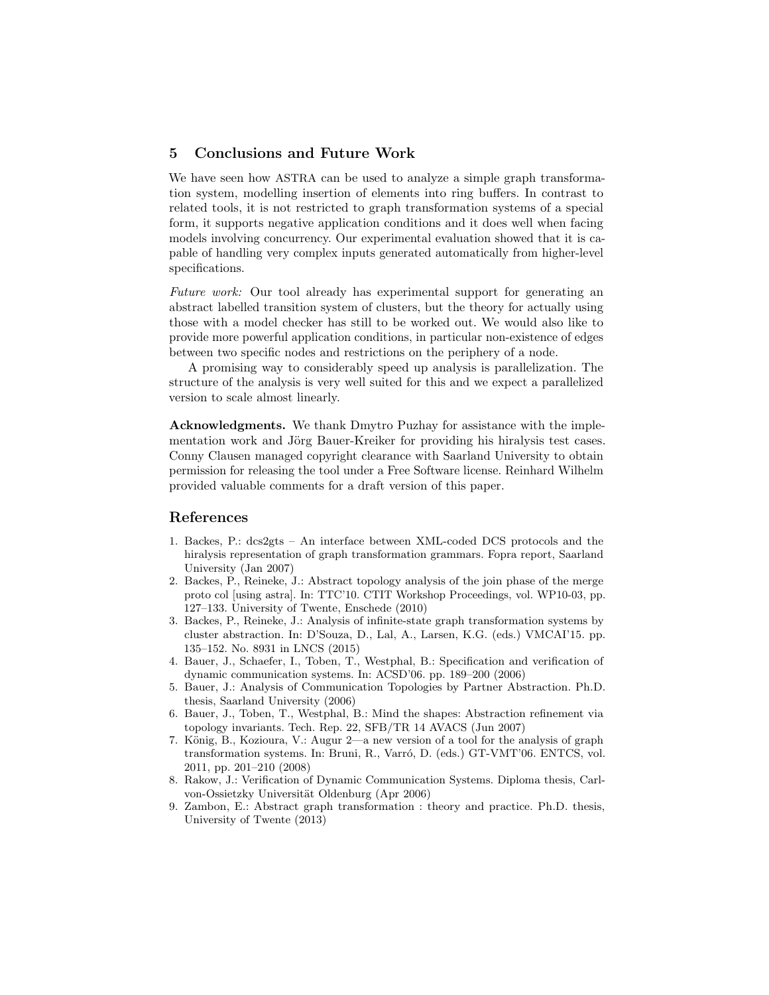# 5 Conclusions and Future Work

We have seen how ASTRA can be used to analyze a simple graph transformation system, modelling insertion of elements into ring buffers. In contrast to related tools, it is not restricted to graph transformation systems of a special form, it supports negative application conditions and it does well when facing models involving concurrency. Our experimental evaluation showed that it is capable of handling very complex inputs generated automatically from higher-level specifications.

*Future work:* Our tool already has experimental support for generating an abstract labelled transition system of clusters, but the theory for actually using those with a model checker has still to be worked out. We would also like to provide more powerful application conditions, in particular non-existence of edges between two specific nodes and restrictions on the periphery of a node.

A promising way to considerably speed up analysis is parallelization. The structure of the analysis is very well suited for this and we expect a parallelized version to scale almost linearly.

Acknowledgments. We thank Dmytro Puzhay for assistance with the implementation work and Jörg Bauer-Kreiker for providing his hiralysis test cases. Conny Clausen managed copyright clearance with Saarland University to obtain permission for releasing the tool under a Free Software license. Reinhard Wilhelm provided valuable comments for a draft version of this paper.

# References

- 1. Backes, P.: dcs2gts An interface between XML-coded DCS protocols and the hiralysis representation of graph transformation grammars. Fopra report, Saarland University (Jan 2007)
- 2. Backes, P., Reineke, J.: Abstract topology analysis of the join phase of the merge proto col [using astra]. In: TTC'10. CTIT Workshop Proceedings, vol. WP10-03, pp. 127–133. University of Twente, Enschede (2010)
- 3. Backes, P., Reineke, J.: Analysis of infinite-state graph transformation systems by cluster abstraction. In: D'Souza, D., Lal, A., Larsen, K.G. (eds.) VMCAI'15. pp. 135–152. No. 8931 in LNCS (2015)
- 4. Bauer, J., Schaefer, I., Toben, T., Westphal, B.: Specification and verification of dynamic communication systems. In: ACSD'06. pp. 189–200 (2006)
- 5. Bauer, J.: Analysis of Communication Topologies by Partner Abstraction. Ph.D. thesis, Saarland University (2006)
- 6. Bauer, J., Toben, T., Westphal, B.: Mind the shapes: Abstraction refinement via topology invariants. Tech. Rep. 22, SFB/TR 14 AVACS (Jun 2007)
- 7. König, B., Kozioura, V.: Augur 2—a new version of a tool for the analysis of graph transformation systems. In: Bruni, R., Varró, D. (eds.) GT-VMT'06. ENTCS, vol. 2011, pp. 201–210 (2008)
- 8. Rakow, J.: Verification of Dynamic Communication Systems. Diploma thesis, Carlvon-Ossietzky Universität Oldenburg (Apr 2006)
- 9. Zambon, E.: Abstract graph transformation : theory and practice. Ph.D. thesis, University of Twente (2013)